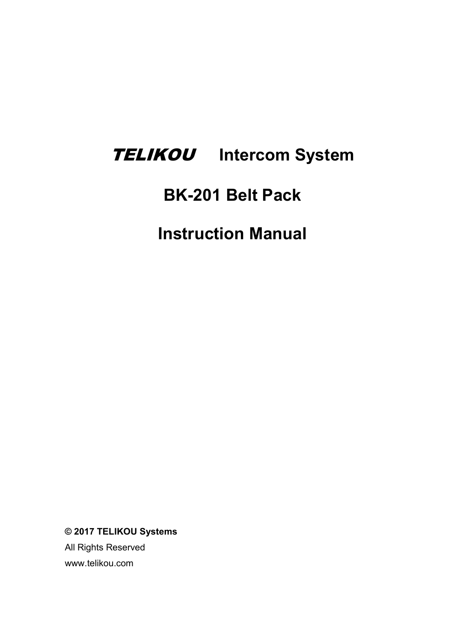# TELIKOU **Intercom System**

# **BK-201 Belt Pack**

**Instruction Manual**

**© 2017 TELIKOU Systems**

All Rights Reserved www.telikou.com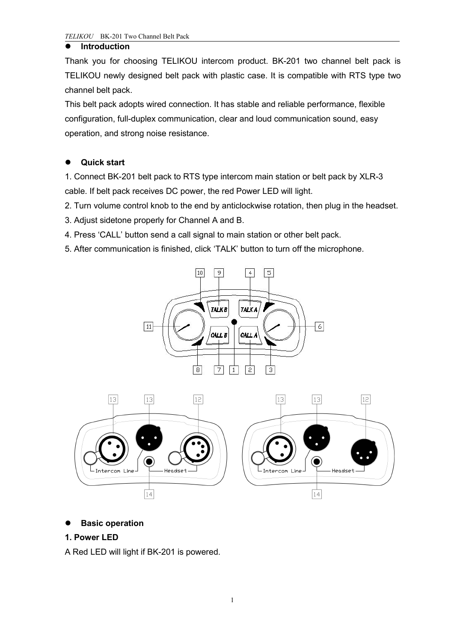#### **Introduction**

Thank you for choosing TELIKOU intercom product. BK-201 two channel belt pack is TELIKOU newly designed belt pack with plastic case. It is compatible with RTS type two channel belt pack.

This belt pack adopts wired connection. It has stable and reliable performance, flexible configuration, full-duplex communication, clear and loud communication sound, easy operation, and strong noise resistance.

# **Quick start**

1. Connect BK-201 belt pack to RTS type intercom main station or belt pack by XLR-3 cable. If belt pack receives DC power, the red Power LED will light.

2. Turn volume control knob to the end by anticlockwise rotation, then plug in the headset.

3. Adjust sidetone properly for Channel A and B.

4. Press 'CALL' button send a call signal to main station or other belt pack.

5. After communication is finished, click 'TALK' button to turn off the microphone.





#### **Basic operation**

#### **1. Power LED**

A RedLED will light if BK-201 is powered.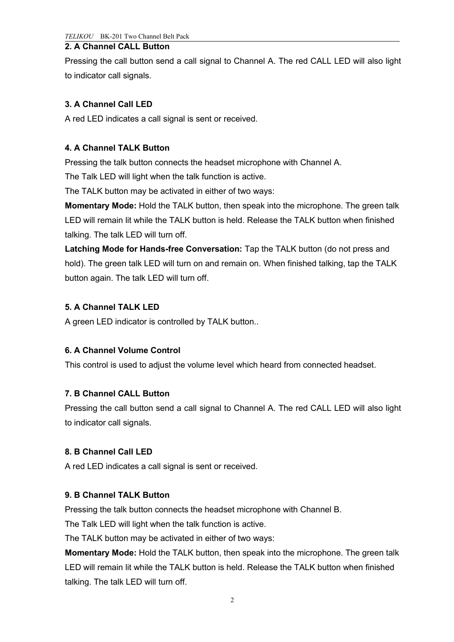#### **2. A Channel CALL Button**

Pressing the call button send a call signal to Channel A.The red CALL LED will also light to indicator call signals.

# **3. A Channel Call LED**

A red LED indicates a call signal is sent or received.

#### **4. A Channel TALK Button**

Pressing the talk button connects the headset microphone with Channel A.

The Talk LED will light when the talk function is active.

The TALK button may be activated in either of two ways:

**Momentary Mode:** Hold the TALK button, then speak into the microphone. The green talk LED will remain lit while the TALK button is held. Release the TALK button when finished talking. The talk LED will turn off.

**Latching Mode for Hands-free Conversation:** Tap the TALK button (do not press and hold). The green talk LED will turn on and remain on. When finished talking, tap the TALK button again. The talk LED will turn off.

#### **5. A Channel TALK LED**

A green LED indicator is controlled by TALK button..

# **6. A Channel Volume Control**

This control is used to adjust the volume level which heard from connected headset.

#### **7. B Channel CALL Button**

Pressing the call button send a call signal to Channel A.The red CALL LED will also light to indicator call signals.

#### **8. B Channel Call LED**

A red LED indicates a call signal is sent or received.

#### **9. B Channel TALK Button**

Pressing the talk button connects the headset microphone with Channel B.

The Talk LED will light when the talk function is active.

The TALK button may be activated in either of two ways:

**Momentary Mode:** Hold the TALK button, then speak into the microphone. The green talk LED will remain lit while the TALK button is held. Release the TALK button when finished talking. The talk LED will turn off.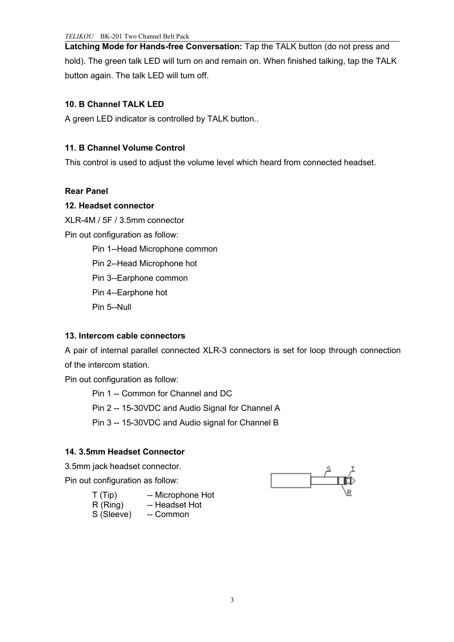**Latching Mode for Hands-free Conversation:** Tap the TALK button (do not press and hold). The green talk LED will turn on and remain on. When finished talking, tap the TALK button again. The talk LED will turn off.

# **10. B Channel TALK LED**

A green LED indicator is controlled by TALK button..

# **11. B Channel Volume Control**

This control is used to adjust the volume level which heard from connected headset.

#### **Rear Panel**

#### **12. Headset connector**

XLR-4M / 5F / 3.5mm connector

Pin out configuration as follow:

Pin 1--Head Microphone common

Pin 2--Head Microphone hot

Pin 3--Earphone common

Pin 4--Earphone hot

Pin 5--Null

#### **13. Intercom cable connectors**

A pair of internal parallel connected XLR-3 connectors is set for loop through connection of the intercom station.

Pin out configuration as follow:

Pin 1 -- Common for Channel and DC

Pin 2 -- 15-30VDC and Audio Signal for Channel A

Pin 3 -- 15-30VDC and Audio signal for Channel B

# **14. 3.5mm Headset Connector**

3.5mm jack headset connector.

Pin out configuration as follow:



| T(Tip)     | -- Microphone Hot |  |
|------------|-------------------|--|
| R(Ring)    | -- Headset Hot    |  |
| S (Sleeve) | -- Common         |  |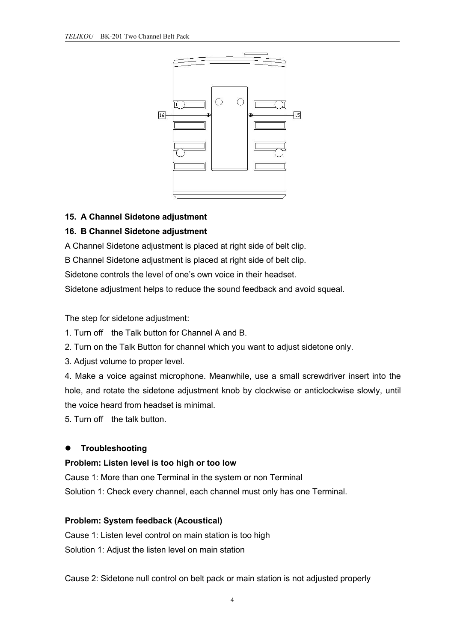

#### **15. A Channel Sidetone adjustment**

#### **16. B Channel Sidetone adjustment**

A Channel Sidetone adjustment is placed at right side of belt clip.

B Channel Sidetone adjustment is placed at right side of belt clip.

Sidetone controls the level of one's own voice in their headset.

Sidetone adjustment helps to reduce the sound feedback and avoid squeal.

The step for sidetone adjustment:

1. Turn off the Talk button for Channel A and B.

2. Turn on the Talk Button for channel which you want to adjust sidetone only.

3. Adjust volume to proper level.

4. Make a voice against microphone. Meanwhile, use a small screwdriver insert into the hole, and rotate the sidetone adjustment knob by clockwise or anticlockwise slowly, until the voice heard from headset is minimal.

5. Turn off the talk button.

#### **Troubleshooting**

#### **Problem: Listen level is too high or too low**

Cause 1: More than one Terminal in the system or non Terminal Solution 1: Check every channel, each channel must only has one Terminal.

#### **Problem: System feedback (Acoustical)**

Cause 1: Listen level control on main station is too high Solution 1: Adjust the listen level on main station

Cause 2: Sidetone null control on belt pack or main station is not adjusted properly